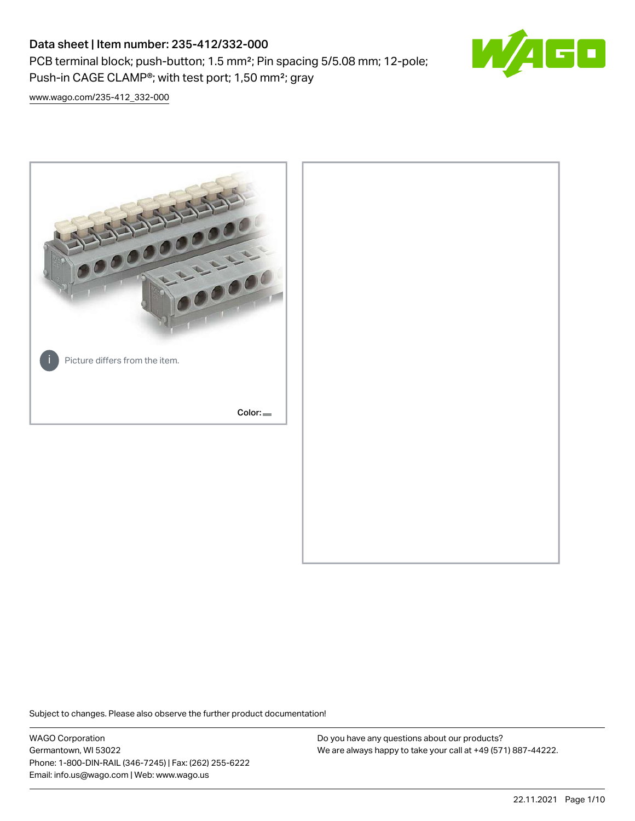PCB terminal block; push-button; 1.5 mm²; Pin spacing 5/5.08 mm; 12-pole; Push-in CAGE CLAMP®; with test port; 1,50 mm²; gray



[www.wago.com/235-412\\_332-000](http://www.wago.com/235-412_332-000)



Subject to changes. Please also observe the further product documentation!

WAGO Corporation Germantown, WI 53022 Phone: 1-800-DIN-RAIL (346-7245) | Fax: (262) 255-6222 Email: info.us@wago.com | Web: www.wago.us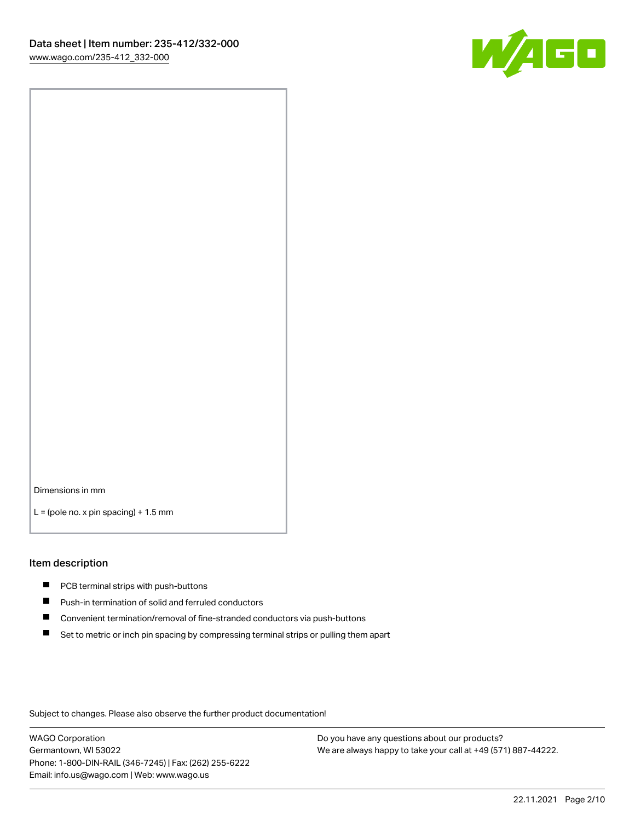

Dimensions in mm

 $L =$  (pole no. x pin spacing) + 1.5 mm

#### Item description

- **PCB terminal strips with push-buttons**
- **Push-in termination of solid and ferruled conductors**
- $\blacksquare$ Convenient termination/removal of fine-stranded conductors via push-buttons
- Set to metric or inch pin spacing by compressing terminal strips or pulling them apart

Subject to changes. Please also observe the further product documentation!

WAGO Corporation Germantown, WI 53022 Phone: 1-800-DIN-RAIL (346-7245) | Fax: (262) 255-6222 Email: info.us@wago.com | Web: www.wago.us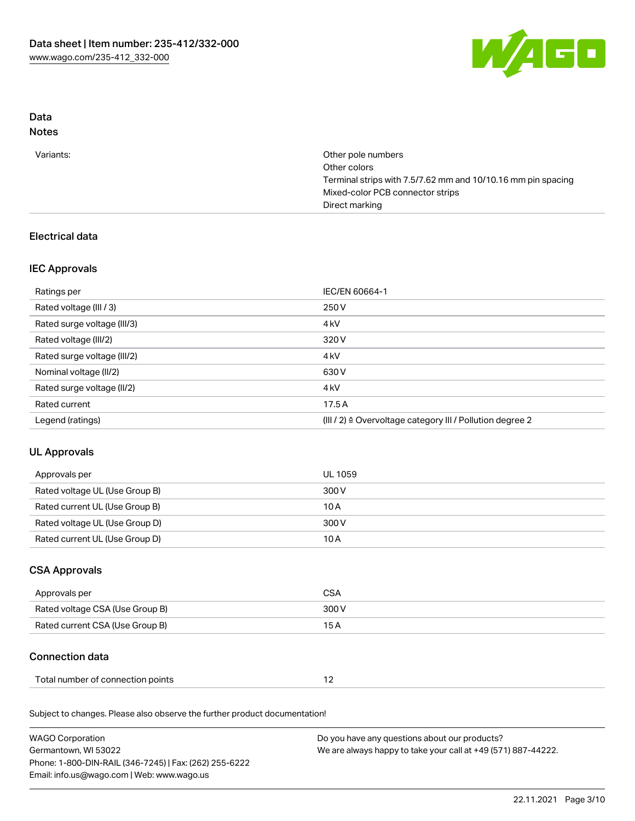

# Data

# Notes

| Other pole numbers                                           |
|--------------------------------------------------------------|
| Other colors                                                 |
| Terminal strips with 7.5/7.62 mm and 10/10.16 mm pin spacing |
| Mixed-color PCB connector strips                             |
| Direct marking                                               |
|                                                              |

# Electrical data

# IEC Approvals

| Ratings per                 | IEC/EN 60664-1                                            |
|-----------------------------|-----------------------------------------------------------|
| Rated voltage (III / 3)     | 250 V                                                     |
| Rated surge voltage (III/3) | 4 <sub>k</sub> V                                          |
| Rated voltage (III/2)       | 320 V                                                     |
| Rated surge voltage (III/2) | 4 <sub>k</sub> V                                          |
| Nominal voltage (II/2)      | 630 V                                                     |
| Rated surge voltage (II/2)  | 4 <sub>k</sub> V                                          |
| Rated current               | 17.5A                                                     |
| Legend (ratings)            | (III / 2) ≙ Overvoltage category III / Pollution degree 2 |

# UL Approvals

| Approvals per                  | UL 1059 |
|--------------------------------|---------|
| Rated voltage UL (Use Group B) | 300 V   |
| Rated current UL (Use Group B) | 10 A    |
| Rated voltage UL (Use Group D) | 300 V   |
| Rated current UL (Use Group D) | 10 A    |

# CSA Approvals

| Approvals per                   | CSA   |
|---------------------------------|-------|
| Rated voltage CSA (Use Group B) | 300 V |
| Rated current CSA (Use Group B) | 15 A  |

# Connection data

| Total number of connection points |  |  |
|-----------------------------------|--|--|
|-----------------------------------|--|--|

Subject to changes. Please also observe the further product documentation!

| <b>WAGO Corporation</b>                                | Do you have any questions about our products?                 |
|--------------------------------------------------------|---------------------------------------------------------------|
| Germantown, WI 53022                                   | We are always happy to take your call at +49 (571) 887-44222. |
| Phone: 1-800-DIN-RAIL (346-7245)   Fax: (262) 255-6222 |                                                               |
| Email: info.us@wago.com   Web: www.wago.us             |                                                               |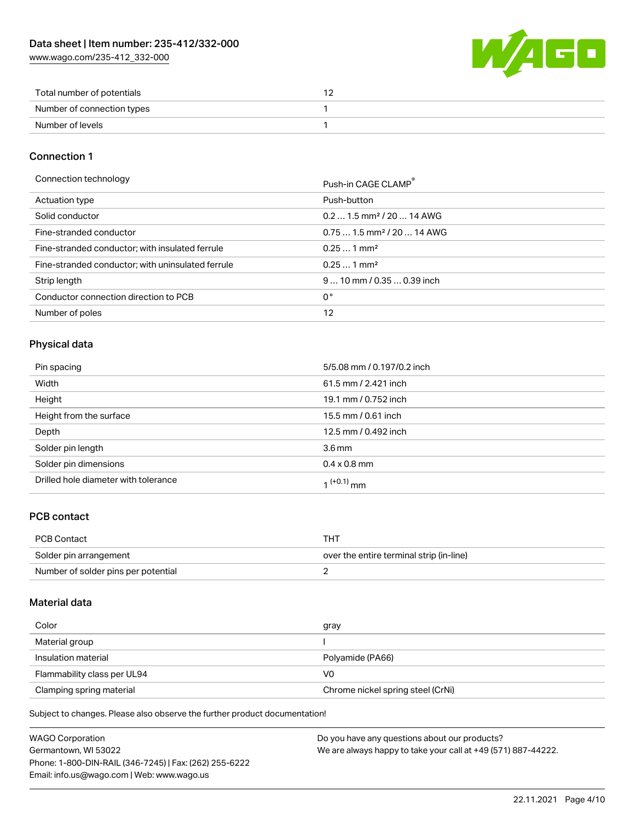[www.wago.com/235-412\\_332-000](http://www.wago.com/235-412_332-000)



| Total number of potentials |  |
|----------------------------|--|
| Number of connection types |  |
| Number of levels           |  |

### Connection 1

Connection technology Push-in CAGE CLAMP<sup>®</sup>

|                                                   | PUSH-III CAUL CLAMP                    |
|---------------------------------------------------|----------------------------------------|
| Actuation type                                    | Push-button                            |
| Solid conductor                                   | $0.21.5$ mm <sup>2</sup> / 20  14 AWG  |
| Fine-stranded conductor                           | $0.751.5$ mm <sup>2</sup> / 20  14 AWG |
| Fine-stranded conductor; with insulated ferrule   | $0.251$ mm <sup>2</sup>                |
| Fine-stranded conductor; with uninsulated ferrule | $0.251$ mm <sup>2</sup>                |
| Strip length                                      | $910$ mm / 0.35  0.39 inch             |
| Conductor connection direction to PCB             | 0°                                     |
| Number of poles                                   | 12                                     |

### Physical data

| Pin spacing                          | 5/5.08 mm / 0.197/0.2 inch |
|--------------------------------------|----------------------------|
| Width                                | 61.5 mm / 2.421 inch       |
| Height                               | 19.1 mm / 0.752 inch       |
| Height from the surface              | 15.5 mm / 0.61 inch        |
| Depth                                | 12.5 mm / 0.492 inch       |
| Solder pin length                    | 3.6 <sub>mm</sub>          |
| Solder pin dimensions                | $0.4 \times 0.8$ mm        |
| Drilled hole diameter with tolerance | $1^{(+0.1)}$ mm            |

### PCB contact

| PCB Contact                         | THT                                      |
|-------------------------------------|------------------------------------------|
| Solder pin arrangement              | over the entire terminal strip (in-line) |
| Number of solder pins per potential |                                          |

### Material data

| Color                       | gray                              |
|-----------------------------|-----------------------------------|
| Material group              |                                   |
| Insulation material         | Polyamide (PA66)                  |
| Flammability class per UL94 | VO                                |
| Clamping spring material    | Chrome nickel spring steel (CrNi) |

Subject to changes. Please also observe the further product documentation!

| WAGO Corporation                                       | Do you have any questions about our products?                 |
|--------------------------------------------------------|---------------------------------------------------------------|
| Germantown, WI 53022                                   | We are always happy to take your call at +49 (571) 887-44222. |
| Phone: 1-800-DIN-RAIL (346-7245)   Fax: (262) 255-6222 |                                                               |
| Email: info.us@wago.com   Web: www.wago.us             |                                                               |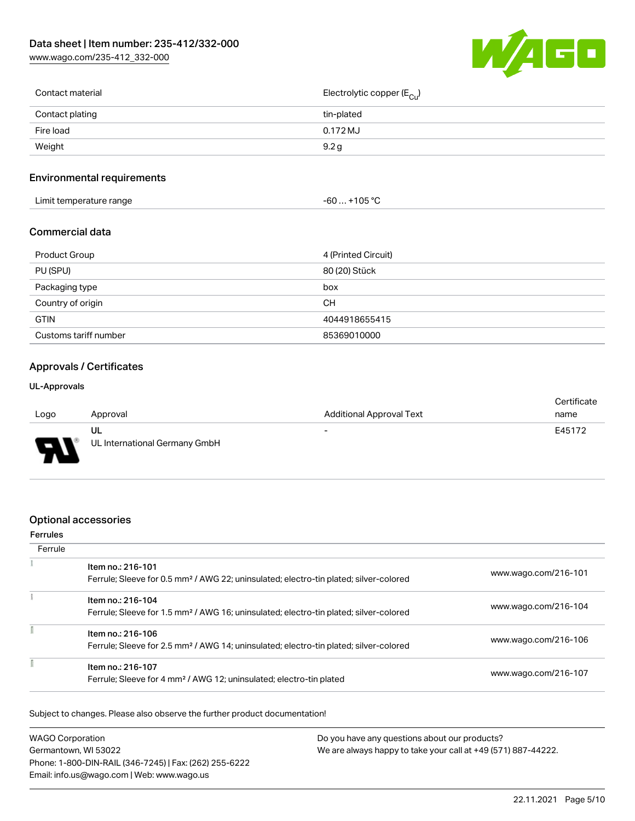[www.wago.com/235-412\\_332-000](http://www.wago.com/235-412_332-000)



| Contact material | Electrolytic copper (E <sub>Cu</sub> ) |
|------------------|----------------------------------------|
| Contact plating  | tin-plated                             |
| Fire load        | 0.172 MJ                               |
| Weight           | 9.2 <sub>g</sub>                       |
|                  |                                        |

### Environmental requirements

| +105 °C<br>Limit temperature range<br>-60 |  |
|-------------------------------------------|--|
|-------------------------------------------|--|

#### Commercial data

| Product Group         | 4 (Printed Circuit) |
|-----------------------|---------------------|
| PU (SPU)              | 80 (20) Stück       |
| Packaging type        | box                 |
| Country of origin     | <b>CH</b>           |
| <b>GTIN</b>           | 4044918655415       |
| Customs tariff number | 85369010000         |

### Approvals / Certificates

#### UL-Approvals

|                               |                               |                                 | Certificate |
|-------------------------------|-------------------------------|---------------------------------|-------------|
| Logo                          | Approval                      | <b>Additional Approval Text</b> | name        |
|                               | ul                            | $\overline{\phantom{a}}$        | E45172      |
| J<br>$\overline{\phantom{a}}$ | UL International Germany GmbH |                                 |             |

### Optional accessories

#### Ferrules **Ferrule**  $\tilde{\chi}$ Item no.: 216-101 Ferrule; Sleeve for 0.5 mm² / AWG 22; uninsulated; electro-tin plated; silver-colored [www.wago.com/216-101](http://www.wago.com/216-101)  $\frac{1}{2}$ Item no.: 216-104 Ferrule; Sleeve for 1.5 mm² / AWG 16; uninsulated; electro-tin plated; silver-colored [www.wago.com/216-104](http://www.wago.com/216-104) Ī **Item no.: 216-106**<br>Ferrule: Sleave fax  $\frac{1}{2}$  MWW.wago.com/216-106

| Ferrule; Sleeve for 2.5 mm² / AWG 14; uninsulated; electro-tin plated; silver-colored                |                      |
|------------------------------------------------------------------------------------------------------|----------------------|
| ltem no.: 216-107<br>Ferrule; Sleeve for 4 mm <sup>2</sup> / AWG 12; uninsulated; electro-tin plated | www.wago.com/216-107 |

Subject to changes. Please also observe the further product documentation!

| <b>WAGO Corporation</b>                                                               | Do you have any questions about our products? |  |
|---------------------------------------------------------------------------------------|-----------------------------------------------|--|
| We are always happy to take your call at +49 (571) 887-44222.<br>Germantown, WI 53022 |                                               |  |
| Phone: 1-800-DIN-RAIL (346-7245)   Fax: (262) 255-6222                                |                                               |  |
| Email: info.us@wago.com   Web: www.wago.us                                            |                                               |  |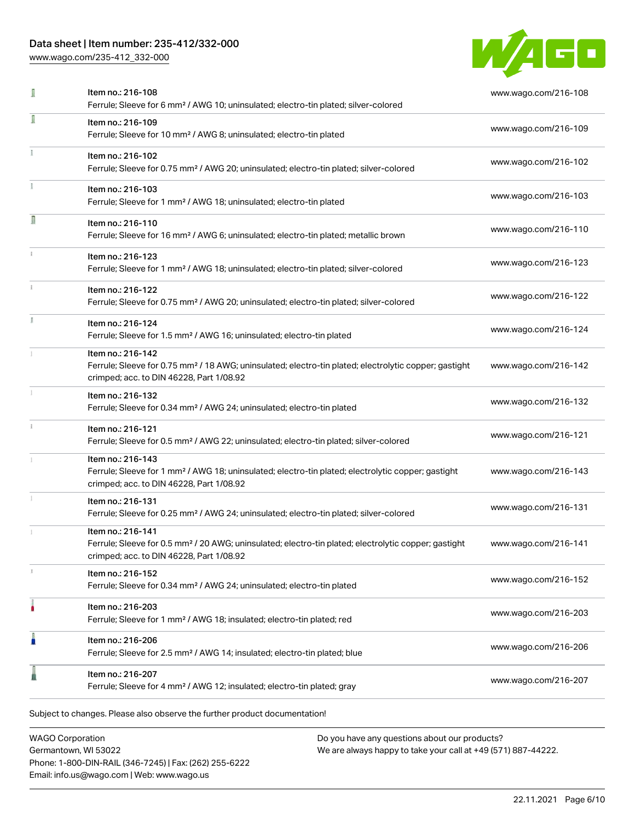[www.wago.com/235-412\\_332-000](http://www.wago.com/235-412_332-000)



| I | Item no.: 216-108<br>Ferrule; Sleeve for 6 mm <sup>2</sup> / AWG 10; uninsulated; electro-tin plated; silver-colored                                                               | www.wago.com/216-108 |
|---|------------------------------------------------------------------------------------------------------------------------------------------------------------------------------------|----------------------|
| Î | Item no.: 216-109<br>Ferrule; Sleeve for 10 mm <sup>2</sup> / AWG 8; uninsulated; electro-tin plated                                                                               | www.wago.com/216-109 |
|   | Item no.: 216-102<br>Ferrule; Sleeve for 0.75 mm <sup>2</sup> / AWG 20; uninsulated; electro-tin plated; silver-colored                                                            | www.wago.com/216-102 |
|   | Item no.: 216-103<br>Ferrule; Sleeve for 1 mm <sup>2</sup> / AWG 18; uninsulated; electro-tin plated                                                                               | www.wago.com/216-103 |
| Π | Item no.: 216-110<br>Ferrule; Sleeve for 16 mm <sup>2</sup> / AWG 6; uninsulated; electro-tin plated; metallic brown                                                               | www.wago.com/216-110 |
|   | Item no.: 216-123<br>Ferrule; Sleeve for 1 mm <sup>2</sup> / AWG 18; uninsulated; electro-tin plated; silver-colored                                                               | www.wago.com/216-123 |
|   | Item no.: 216-122<br>Ferrule; Sleeve for 0.75 mm <sup>2</sup> / AWG 20; uninsulated; electro-tin plated; silver-colored                                                            | www.wago.com/216-122 |
|   | Item no.: 216-124<br>Ferrule; Sleeve for 1.5 mm <sup>2</sup> / AWG 16; uninsulated; electro-tin plated                                                                             | www.wago.com/216-124 |
|   | Item no.: 216-142<br>Ferrule; Sleeve for 0.75 mm <sup>2</sup> / 18 AWG; uninsulated; electro-tin plated; electrolytic copper; gastight<br>crimped; acc. to DIN 46228, Part 1/08.92 | www.wago.com/216-142 |
|   | Item no.: 216-132<br>Ferrule; Sleeve for 0.34 mm <sup>2</sup> / AWG 24; uninsulated; electro-tin plated                                                                            | www.wago.com/216-132 |
|   | Item no.: 216-121<br>Ferrule; Sleeve for 0.5 mm <sup>2</sup> / AWG 22; uninsulated; electro-tin plated; silver-colored                                                             | www.wago.com/216-121 |
|   | Item no.: 216-143<br>Ferrule; Sleeve for 1 mm <sup>2</sup> / AWG 18; uninsulated; electro-tin plated; electrolytic copper; gastight<br>crimped; acc. to DIN 46228, Part 1/08.92    | www.wago.com/216-143 |
|   | Item no.: 216-131<br>Ferrule; Sleeve for 0.25 mm <sup>2</sup> / AWG 24; uninsulated; electro-tin plated; silver-colored                                                            | www.wago.com/216-131 |
|   | Item no.: 216-141<br>Ferrule; Sleeve for 0.5 mm <sup>2</sup> / 20 AWG; uninsulated; electro-tin plated; electrolytic copper; gastight<br>crimped; acc. to DIN 46228, Part 1/08.92  | www.wago.com/216-141 |
|   | Item no.: 216-152<br>Ferrule; Sleeve for 0.34 mm <sup>2</sup> / AWG 24; uninsulated; electro-tin plated                                                                            | www.wago.com/216-152 |
|   | Item no.: 216-203<br>Ferrule; Sleeve for 1 mm <sup>2</sup> / AWG 18; insulated; electro-tin plated; red                                                                            | www.wago.com/216-203 |
| h | Item no.: 216-206<br>Ferrule; Sleeve for 2.5 mm <sup>2</sup> / AWG 14; insulated; electro-tin plated; blue                                                                         | www.wago.com/216-206 |
|   | Item no.: 216-207<br>Ferrule; Sleeve for 4 mm <sup>2</sup> / AWG 12; insulated; electro-tin plated; gray                                                                           | www.wago.com/216-207 |

WAGO Corporation Germantown, WI 53022 Phone: 1-800-DIN-RAIL (346-7245) | Fax: (262) 255-6222 Email: info.us@wago.com | Web: www.wago.us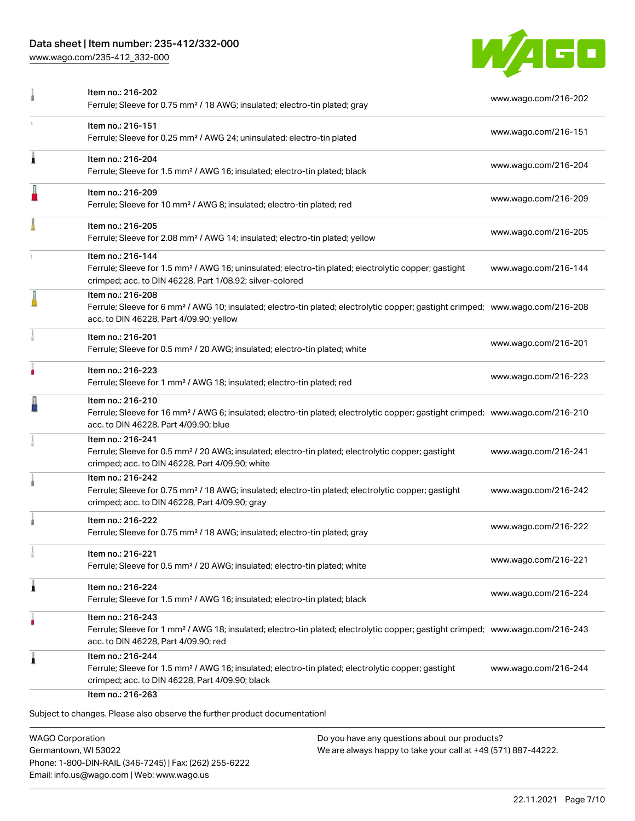[www.wago.com/235-412\\_332-000](http://www.wago.com/235-412_332-000)



| Item no.: 216-151                                                                                                                                                                                 |                                                                                                                                                                                                                                                                                                                                                                                                                                                             |
|---------------------------------------------------------------------------------------------------------------------------------------------------------------------------------------------------|-------------------------------------------------------------------------------------------------------------------------------------------------------------------------------------------------------------------------------------------------------------------------------------------------------------------------------------------------------------------------------------------------------------------------------------------------------------|
| Ferrule; Sleeve for 0.25 mm <sup>2</sup> / AWG 24; uninsulated; electro-tin plated                                                                                                                | www.wago.com/216-151                                                                                                                                                                                                                                                                                                                                                                                                                                        |
| Item no.: 216-204<br>Ferrule; Sleeve for 1.5 mm <sup>2</sup> / AWG 16; insulated; electro-tin plated; black                                                                                       | www.wago.com/216-204                                                                                                                                                                                                                                                                                                                                                                                                                                        |
| Item no.: 216-209<br>Ferrule; Sleeve for 10 mm <sup>2</sup> / AWG 8; insulated; electro-tin plated; red                                                                                           | www.wago.com/216-209                                                                                                                                                                                                                                                                                                                                                                                                                                        |
| Item no.: 216-205<br>Ferrule; Sleeve for 2.08 mm <sup>2</sup> / AWG 14; insulated; electro-tin plated; yellow                                                                                     | www.wago.com/216-205                                                                                                                                                                                                                                                                                                                                                                                                                                        |
| Item no.: 216-144<br>Ferrule; Sleeve for 1.5 mm <sup>2</sup> / AWG 16; uninsulated; electro-tin plated; electrolytic copper; gastight<br>crimped; acc. to DIN 46228, Part 1/08.92; silver-colored | www.wago.com/216-144                                                                                                                                                                                                                                                                                                                                                                                                                                        |
| Item no.: 216-208<br>acc. to DIN 46228, Part 4/09.90; yellow                                                                                                                                      |                                                                                                                                                                                                                                                                                                                                                                                                                                                             |
| Item no.: 216-201<br>Ferrule; Sleeve for 0.5 mm <sup>2</sup> / 20 AWG; insulated; electro-tin plated; white                                                                                       | www.wago.com/216-201                                                                                                                                                                                                                                                                                                                                                                                                                                        |
| Item no.: 216-223<br>Ferrule; Sleeve for 1 mm <sup>2</sup> / AWG 18; insulated; electro-tin plated; red                                                                                           | www.wago.com/216-223                                                                                                                                                                                                                                                                                                                                                                                                                                        |
| Item no.: 216-210<br>acc. to DIN 46228, Part 4/09.90; blue                                                                                                                                        |                                                                                                                                                                                                                                                                                                                                                                                                                                                             |
| Item no.: 216-241<br>Ferrule; Sleeve for 0.5 mm <sup>2</sup> / 20 AWG; insulated; electro-tin plated; electrolytic copper; gastight<br>crimped; acc. to DIN 46228, Part 4/09.90; white            | www.wago.com/216-241                                                                                                                                                                                                                                                                                                                                                                                                                                        |
| Item no.: 216-242<br>Ferrule; Sleeve for 0.75 mm <sup>2</sup> / 18 AWG; insulated; electro-tin plated; electrolytic copper; gastight<br>crimped; acc. to DIN 46228, Part 4/09.90; gray            | www.wago.com/216-242                                                                                                                                                                                                                                                                                                                                                                                                                                        |
| Item no.: 216-222<br>Ferrule; Sleeve for 0.75 mm <sup>2</sup> / 18 AWG; insulated; electro-tin plated; gray                                                                                       | www.wago.com/216-222                                                                                                                                                                                                                                                                                                                                                                                                                                        |
| ltem no.: 216-221<br>Ferrule; Sleeve for 0.5 mm <sup>2</sup> / 20 AWG; insulated; electro-tin plated; white                                                                                       | www.wago.com/216-221                                                                                                                                                                                                                                                                                                                                                                                                                                        |
| Item no.: 216-224<br>Ferrule; Sleeve for 1.5 mm <sup>2</sup> / AWG 16; insulated; electro-tin plated; black                                                                                       | www.wago.com/216-224                                                                                                                                                                                                                                                                                                                                                                                                                                        |
| Item no.: 216-243<br>acc. to DIN 46228, Part 4/09.90; red                                                                                                                                         |                                                                                                                                                                                                                                                                                                                                                                                                                                                             |
| Item no.: 216-244<br>Ferrule; Sleeve for 1.5 mm <sup>2</sup> / AWG 16; insulated; electro-tin plated; electrolytic copper; gastight<br>crimped; acc. to DIN 46228, Part 4/09.90; black            | www.wago.com/216-244                                                                                                                                                                                                                                                                                                                                                                                                                                        |
|                                                                                                                                                                                                   | Ferrule; Sleeve for 6 mm <sup>2</sup> / AWG 10; insulated; electro-tin plated; electrolytic copper; gastight crimped; www.wago.com/216-208<br>Ferrule; Sleeve for 16 mm <sup>2</sup> / AWG 6; insulated; electro-tin plated; electrolytic copper; gastight crimped; www.wago.com/216-210<br>Ferrule; Sleeve for 1 mm <sup>2</sup> / AWG 18; insulated; electro-tin plated; electrolytic copper; gastight crimped; www.wago.com/216-243<br>Item no.: 216-263 |

WAGO Corporation Germantown, WI 53022 Phone: 1-800-DIN-RAIL (346-7245) | Fax: (262) 255-6222 Email: info.us@wago.com | Web: www.wago.us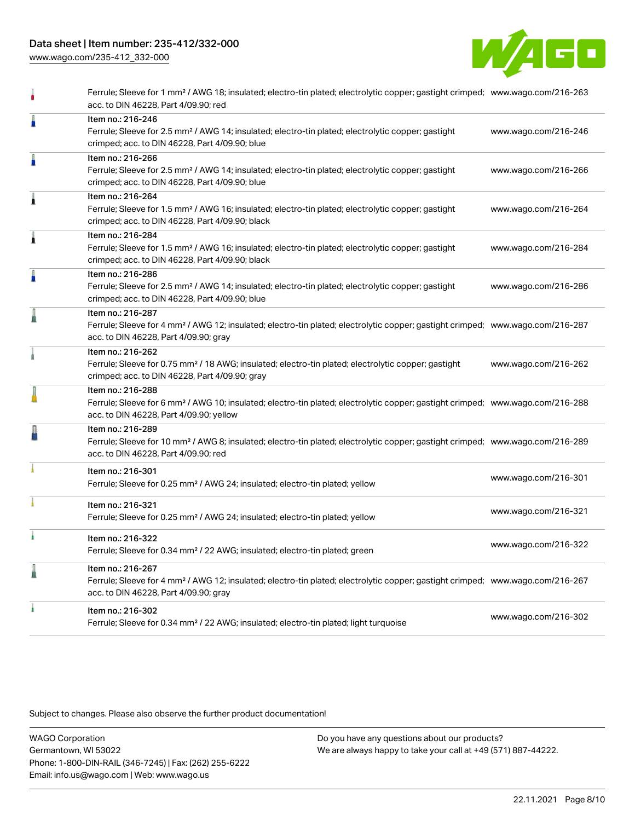[www.wago.com/235-412\\_332-000](http://www.wago.com/235-412_332-000)



|   | Ferrule; Sleeve for 1 mm <sup>2</sup> / AWG 18; insulated; electro-tin plated; electrolytic copper; gastight crimped; www.wago.com/216-263<br>acc. to DIN 46228, Part 4/09.90; red                         |                      |
|---|------------------------------------------------------------------------------------------------------------------------------------------------------------------------------------------------------------|----------------------|
| Å | Item no.: 216-246<br>Ferrule; Sleeve for 2.5 mm <sup>2</sup> / AWG 14; insulated; electro-tin plated; electrolytic copper; gastight<br>crimped; acc. to DIN 46228, Part 4/09.90; blue                      | www.wago.com/216-246 |
| Å | Item no.: 216-266<br>Ferrule; Sleeve for 2.5 mm <sup>2</sup> / AWG 14; insulated; electro-tin plated; electrolytic copper; gastight<br>crimped; acc. to DIN 46228, Part 4/09.90; blue                      | www.wago.com/216-266 |
| Â | Item no.: 216-264<br>Ferrule; Sleeve for 1.5 mm <sup>2</sup> / AWG 16; insulated; electro-tin plated; electrolytic copper; gastight<br>crimped; acc. to DIN 46228, Part 4/09.90; black                     | www.wago.com/216-264 |
| Â | Item no.: 216-284<br>Ferrule; Sleeve for 1.5 mm <sup>2</sup> / AWG 16; insulated; electro-tin plated; electrolytic copper; gastight<br>crimped; acc. to DIN 46228, Part 4/09.90; black                     | www.wago.com/216-284 |
| I | Item no.: 216-286<br>Ferrule; Sleeve for 2.5 mm <sup>2</sup> / AWG 14; insulated; electro-tin plated; electrolytic copper; gastight<br>crimped; acc. to DIN 46228, Part 4/09.90; blue                      | www.wago.com/216-286 |
| I | Item no.: 216-287<br>Ferrule; Sleeve for 4 mm <sup>2</sup> / AWG 12; insulated; electro-tin plated; electrolytic copper; gastight crimped; www.wago.com/216-287<br>acc. to DIN 46228, Part 4/09.90; gray   |                      |
|   | Item no.: 216-262<br>Ferrule; Sleeve for 0.75 mm <sup>2</sup> / 18 AWG; insulated; electro-tin plated; electrolytic copper; gastight<br>crimped; acc. to DIN 46228, Part 4/09.90; gray                     | www.wago.com/216-262 |
|   | Item no.: 216-288<br>Ferrule; Sleeve for 6 mm <sup>2</sup> / AWG 10; insulated; electro-tin plated; electrolytic copper; gastight crimped; www.wago.com/216-288<br>acc. to DIN 46228, Part 4/09.90; yellow |                      |
| ł | Item no.: 216-289<br>Ferrule; Sleeve for 10 mm <sup>2</sup> / AWG 8; insulated; electro-tin plated; electrolytic copper; gastight crimped; www.wago.com/216-289<br>acc. to DIN 46228, Part 4/09.90; red    |                      |
|   | Item no.: 216-301<br>Ferrule; Sleeve for 0.25 mm <sup>2</sup> / AWG 24; insulated; electro-tin plated; yellow                                                                                              | www.wago.com/216-301 |
|   | Item no.: 216-321<br>Ferrule; Sleeve for 0.25 mm <sup>2</sup> / AWG 24; insulated; electro-tin plated; yellow                                                                                              | www.wago.com/216-321 |
|   | Item no.: 216-322<br>Ferrule; Sleeve for 0.34 mm <sup>2</sup> / 22 AWG; insulated; electro-tin plated; green                                                                                               | www.wago.com/216-322 |
| l | Item no.: 216-267<br>Ferrule; Sleeve for 4 mm <sup>2</sup> / AWG 12; insulated; electro-tin plated; electrolytic copper; gastight crimped; www.wago.com/216-267<br>acc. to DIN 46228, Part 4/09.90; gray   |                      |
|   | Item no.: 216-302<br>Ferrule; Sleeve for 0.34 mm <sup>2</sup> / 22 AWG; insulated; electro-tin plated; light turquoise                                                                                     | www.wago.com/216-302 |
|   |                                                                                                                                                                                                            |                      |

Subject to changes. Please also observe the further product documentation!

WAGO Corporation Germantown, WI 53022 Phone: 1-800-DIN-RAIL (346-7245) | Fax: (262) 255-6222 Email: info.us@wago.com | Web: www.wago.us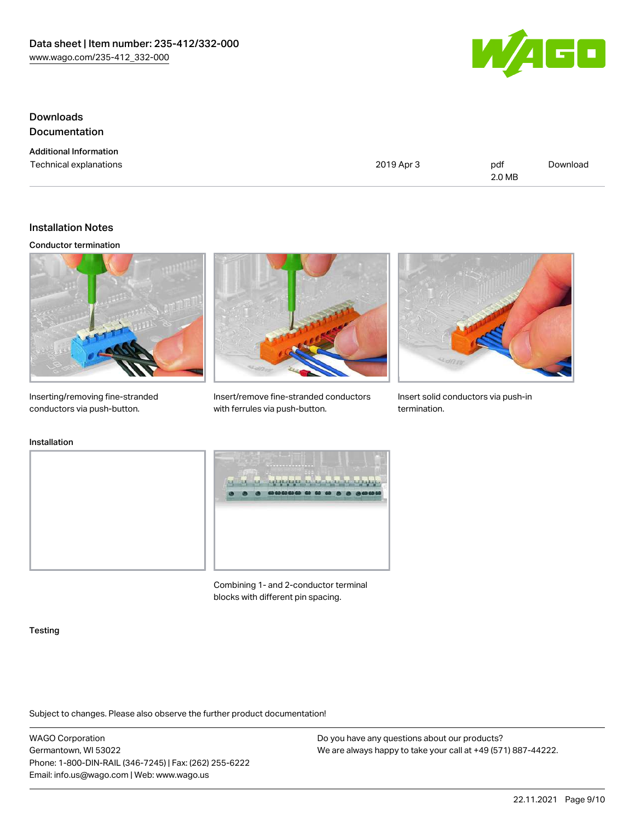

# Downloads Documentation

Additional Information

Technical explanations and political explanations and political explanations and political explanations of political explanations of political explanations of political explanations of political explanations of political e 2.0 MB [Download](https://www.wago.com/global/d/1435602)

### Installation Notes

#### Conductor termination



Inserting/removing fine-stranded conductors via push-button.



Insert/remove fine-stranded conductors with ferrules via push-button.



Insert solid conductors via push-in termination.

### Installation





Combining 1- and 2-conductor terminal blocks with different pin spacing.

#### **Testing**

Subject to changes. Please also observe the further product documentation!

WAGO Corporation Germantown, WI 53022 Phone: 1-800-DIN-RAIL (346-7245) | Fax: (262) 255-6222 Email: info.us@wago.com | Web: www.wago.us